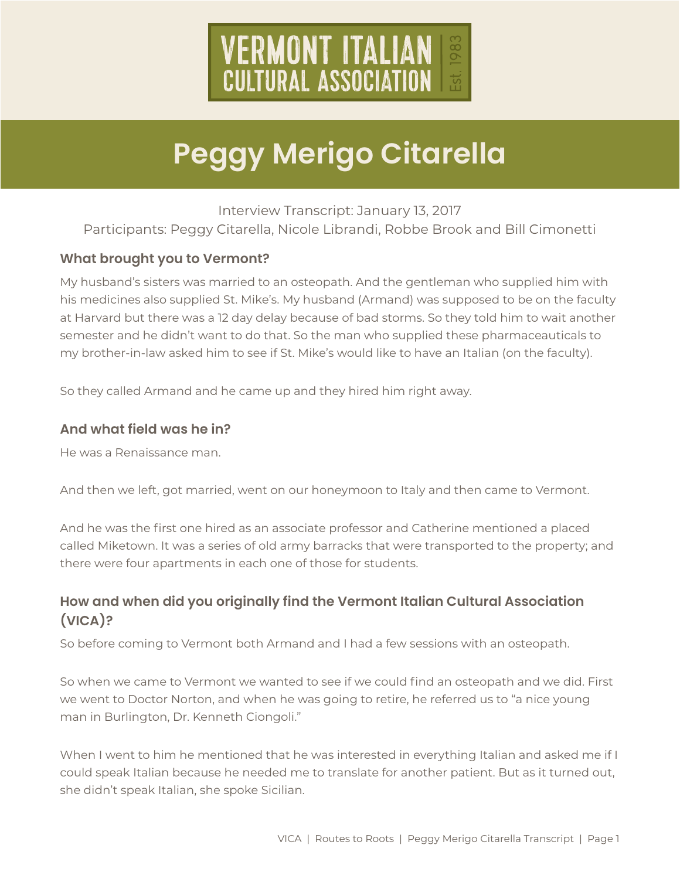

Interview Transcript: January 13, 2017 Participants: Peggy Citarella, Nicole Librandi, Robbe Brook and Bill Cimonetti

### **What brought you to Vermont?**

My husband's sisters was married to an osteopath. And the gentleman who supplied him with his medicines also supplied St. Mike's. My husband (Armand) was supposed to be on the faculty at Harvard but there was a 12 day delay because of bad storms. So they told him to wait another semester and he didn't want to do that. So the man who supplied these pharmaceauticals to my brother-in-law asked him to see if St. Mike's would like to have an Italian (on the faculty).

So they called Armand and he came up and they hired him right away.

#### **And what field was he in?**

He was a Renaissance man.

And then we left, got married, went on our honeymoon to Italy and then came to Vermont.

And he was the first one hired as an associate professor and Catherine mentioned a placed called Miketown. It was a series of old army barracks that were transported to the property; and there were four apartments in each one of those for students.

### **How and when did you originally find the Vermont Italian Cultural Association (VICA)?**

So before coming to Vermont both Armand and I had a few sessions with an osteopath.

So when we came to Vermont we wanted to see if we could find an osteopath and we did. First we went to Doctor Norton, and when he was going to retire, he referred us to "a nice young man in Burlington, Dr. Kenneth Ciongoli."

When I went to him he mentioned that he was interested in everything Italian and asked me if I could speak Italian because he needed me to translate for another patient. But as it turned out, she didn't speak Italian, she spoke Sicilian.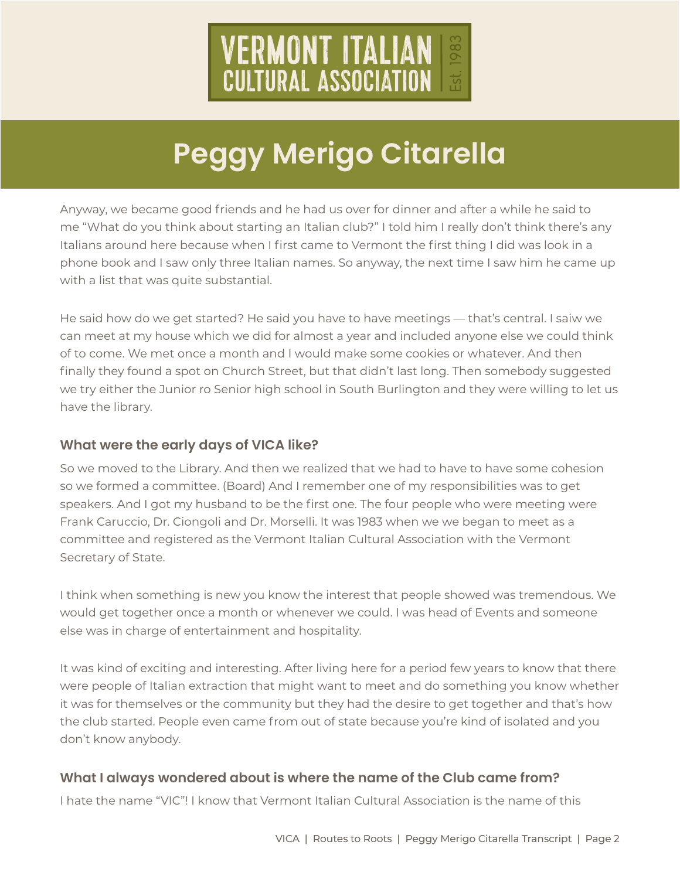

Anyway, we became good friends and he had us over for dinner and after a while he said to me "What do you think about starting an Italian club?" I told him I really don't think there's any Italians around here because when I first came to Vermont the first thing I did was look in a phone book and I saw only three Italian names. So anyway, the next time I saw him he came up with a list that was quite substantial.

He said how do we get started? He said you have to have meetings — that's central. I saiw we can meet at my house which we did for almost a year and included anyone else we could think of to come. We met once a month and I would make some cookies or whatever. And then finally they found a spot on Church Street, but that didn't last long. Then somebody suggested we try either the Junior ro Senior high school in South Burlington and they were willing to let us have the library.

#### **What were the early days of VICA like?**

So we moved to the Library. And then we realized that we had to have to have some cohesion so we formed a committee. (Board) And I remember one of my responsibilities was to get speakers. And I got my husband to be the first one. The four people who were meeting were Frank Caruccio, Dr. Ciongoli and Dr. Morselli. It was 1983 when we we began to meet as a committee and registered as the Vermont Italian Cultural Association with the Vermont Secretary of State.

I think when something is new you know the interest that people showed was tremendous. We would get together once a month or whenever we could. I was head of Events and someone else was in charge of entertainment and hospitality.

It was kind of exciting and interesting. After living here for a period few years to know that there were people of Italian extraction that might want to meet and do something you know whether it was for themselves or the community but they had the desire to get together and that's how the club started. People even came from out of state because you're kind of isolated and you don't know anybody.

### **What I always wondered about is where the name of the Club came from?**

I hate the name "VIC"! I know that Vermont Italian Cultural Association is the name of this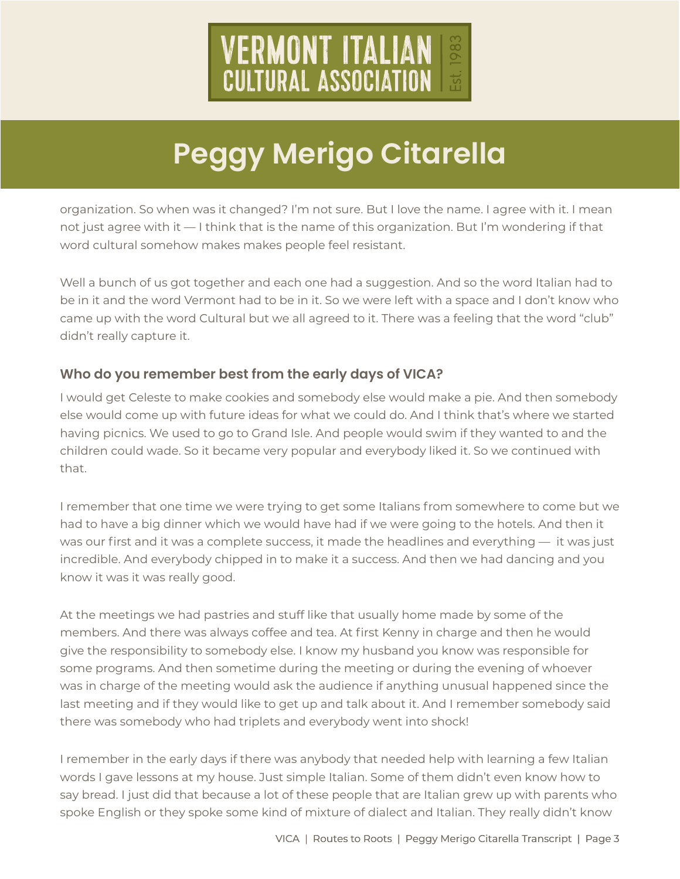

organization. So when was it changed? I'm not sure. But I love the name. I agree with it. I mean not just agree with it — I think that is the name of this organization. But I'm wondering if that word cultural somehow makes makes people feel resistant.

Well a bunch of us got together and each one had a suggestion. And so the word Italian had to be in it and the word Vermont had to be in it. So we were left with a space and I don't know who came up with the word Cultural but we all agreed to it. There was a feeling that the word "club" didn't really capture it.

### **Who do you remember best from the early days of VICA?**

I would get Celeste to make cookies and somebody else would make a pie. And then somebody else would come up with future ideas for what we could do. And I think that's where we started having picnics. We used to go to Grand Isle. And people would swim if they wanted to and the children could wade. So it became very popular and everybody liked it. So we continued with that.

I remember that one time we were trying to get some Italians from somewhere to come but we had to have a big dinner which we would have had if we were going to the hotels. And then it was our first and it was a complete success, it made the headlines and everything — it was just incredible. And everybody chipped in to make it a success. And then we had dancing and you know it was it was really good.

At the meetings we had pastries and stuff like that usually home made by some of the members. And there was always coffee and tea. At first Kenny in charge and then he would give the responsibility to somebody else. I know my husband you know was responsible for some programs. And then sometime during the meeting or during the evening of whoever was in charge of the meeting would ask the audience if anything unusual happened since the last meeting and if they would like to get up and talk about it. And I remember somebody said there was somebody who had triplets and everybody went into shock!

I remember in the early days if there was anybody that needed help with learning a few Italian words I gave lessons at my house. Just simple Italian. Some of them didn't even know how to say bread. I just did that because a lot of these people that are Italian grew up with parents who spoke English or they spoke some kind of mixture of dialect and Italian. They really didn't know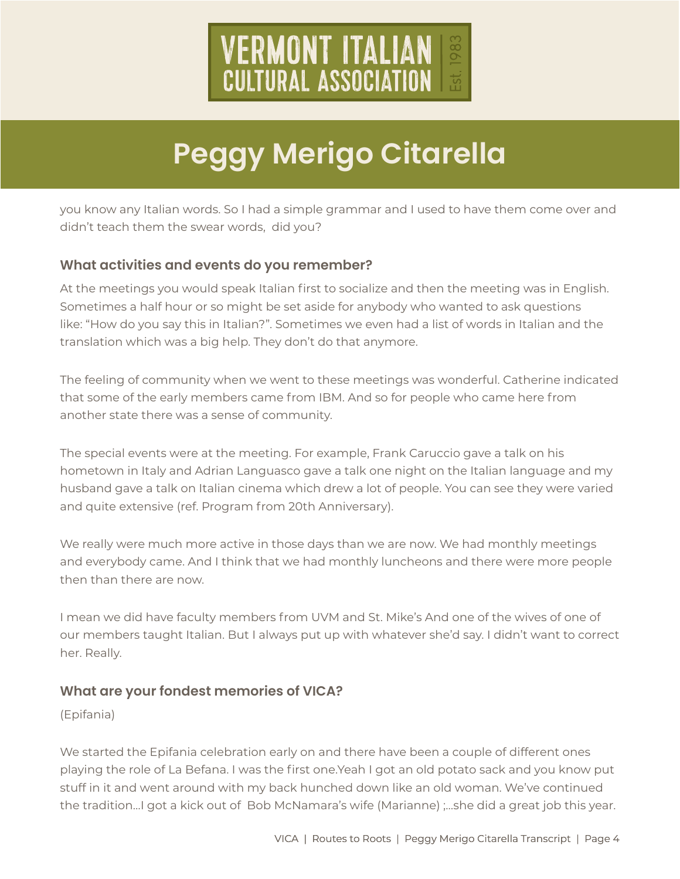

you know any Italian words. So I had a simple grammar and I used to have them come over and didn't teach them the swear words, did you?

#### **What activities and events do you remember?**

At the meetings you would speak Italian first to socialize and then the meeting was in English. Sometimes a half hour or so might be set aside for anybody who wanted to ask questions like: "How do you say this in Italian?". Sometimes we even had a list of words in Italian and the translation which was a big help. They don't do that anymore.

The feeling of community when we went to these meetings was wonderful. Catherine indicated that some of the early members came from IBM. And so for people who came here from another state there was a sense of community.

The special events were at the meeting. For example, Frank Caruccio gave a talk on his hometown in Italy and Adrian Languasco gave a talk one night on the Italian language and my husband gave a talk on Italian cinema which drew a lot of people. You can see they were varied and quite extensive (ref. Program from 20th Anniversary).

We really were much more active in those days than we are now. We had monthly meetings and everybody came. And I think that we had monthly luncheons and there were more people then than there are now.

I mean we did have faculty members from UVM and St. Mike's And one of the wives of one of our members taught Italian. But I always put up with whatever she'd say. I didn't want to correct her. Really.

### **What are your fondest memories of VICA?**

(Epifania)

We started the Epifania celebration early on and there have been a couple of different ones playing the role of La Befana. I was the first one.Yeah I got an old potato sack and you know put stuff in it and went around with my back hunched down like an old woman. We've continued the tradition…I got a kick out of Bob McNamara's wife (Marianne) ;…she did a great job this year.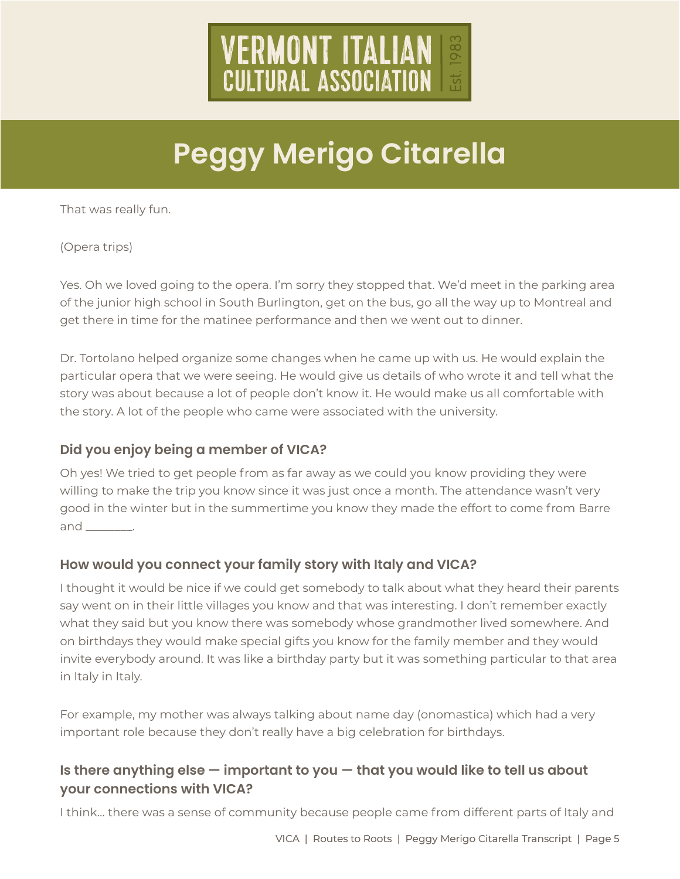

That was really fun.

(Opera trips)

Yes. Oh we loved going to the opera. I'm sorry they stopped that. We'd meet in the parking area of the junior high school in South Burlington, get on the bus, go all the way up to Montreal and get there in time for the matinee performance and then we went out to dinner.

Dr. Tortolano helped organize some changes when he came up with us. He would explain the particular opera that we were seeing. He would give us details of who wrote it and tell what the story was about because a lot of people don't know it. He would make us all comfortable with the story. A lot of the people who came were associated with the university.

### **Did you enjoy being a member of VICA?**

Oh yes! We tried to get people from as far away as we could you know providing they were willing to make the trip you know since it was just once a month. The attendance wasn't very good in the winter but in the summertime you know they made the effort to come from Barre and \_\_\_\_\_\_\_\_.

### **How would you connect your family story with Italy and VICA?**

I thought it would be nice if we could get somebody to talk about what they heard their parents say went on in their little villages you know and that was interesting. I don't remember exactly what they said but you know there was somebody whose grandmother lived somewhere. And on birthdays they would make special gifts you know for the family member and they would invite everybody around. It was like a birthday party but it was something particular to that area in Italy in Italy.

For example, my mother was always talking about name day (onomastica) which had a very important role because they don't really have a big celebration for birthdays.

### **Is there anything else — important to you — that you would like to tell us about your connections with VICA?**

I think… there was a sense of community because people came from different parts of Italy and